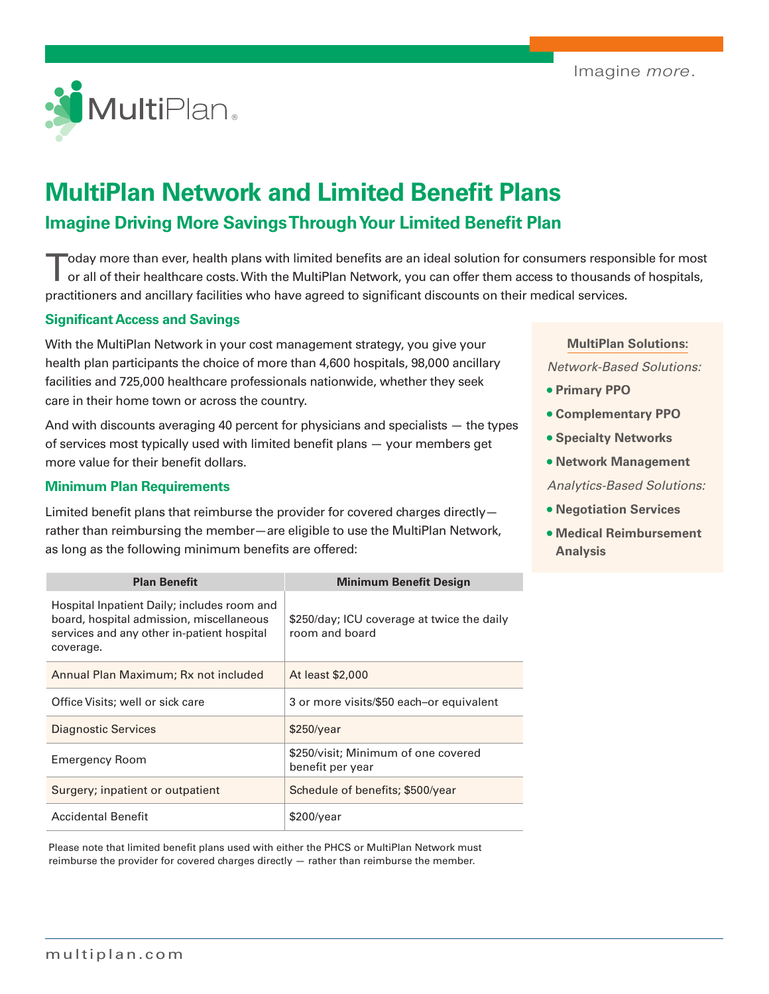

# **MultiPlan Network and Limited Benefit Plans Imagine Driving More Savings Through Your Limited Benefit Plan**

Today more than ever, health plans with limited benefits are an ideal solution for consumers responsible for most or all of their healthcare costs. With the MultiPlan Network, you can offer them access to thousands of hospitals, practitioners and ancillary facilities who have agreed to significant discounts on their medical services.

#### **Significant Access and Savings**

With the MultiPlan Network in your cost management strategy, you give your health plan participants the choice of more than 4,600 hospitals, 98,000 ancillary facilities and 725,000 healthcare professionals nationwide, whether they seek care in their home town or across the country.

And with discounts averaging 40 percent for physicians and specialists — the types of services most typically used with limited benefit plans — your members get more value for their benefit dollars.

#### **Minimum Plan Requirements**

Limited benefit plans that reimburse the provider for covered charges directly rather than reimbursing the member—are eligible to use the MultiPlan Network, as long as the following minimum benefits are offered:

| <b>Plan Benefit</b>                                                                                                                                | <b>Minimum Benefit Design</b>                                |
|----------------------------------------------------------------------------------------------------------------------------------------------------|--------------------------------------------------------------|
| Hospital Inpatient Daily; includes room and<br>board, hospital admission, miscellaneous<br>services and any other in-patient hospital<br>coverage. | \$250/day; ICU coverage at twice the daily<br>room and board |
| Annual Plan Maximum; Rx not included                                                                                                               | At least \$2,000                                             |
| Office Visits; well or sick care                                                                                                                   | 3 or more visits/\$50 each-or equivalent                     |
| Diagnostic Services                                                                                                                                | \$250/year                                                   |
| <b>Emergency Room</b>                                                                                                                              | \$250/visit; Minimum of one covered<br>benefit per year      |
| Surgery; inpatient or outpatient                                                                                                                   | Schedule of benefits; \$500/year                             |
| <b>Accidental Benefit</b>                                                                                                                          | \$200/year                                                   |

Please note that limited benefit plans used with either the PHCS or MultiPlan Network must reimburse the provider for covered charges directly  $-$  rather than reimburse the member.

#### **MultiPlan Solutions:**

*Network-Based Solutions:*

- **• Primary PPO**
- **• Complementary PPO**
- **• Specialty Networks**
- **• Network Management**

*Analytics-Based Solutions:*

- **• Negotiation Services**
- **• Medical Reimbursement Analysis**